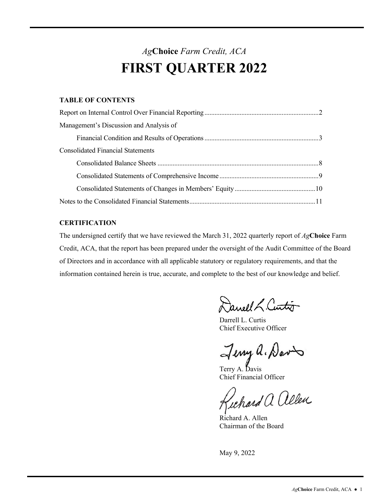### *Ag***Choice** *Farm Credit, ACA*  **FIRST QUARTER 2022**

### **TABLE OF CONTENTS**

| Management's Discussion and Analysis of  |
|------------------------------------------|
|                                          |
| <b>Consolidated Financial Statements</b> |
|                                          |
|                                          |
|                                          |
|                                          |

#### **CERTIFICATION**

The undersigned certify that we have reviewed the March 31, 2022 quarterly report of *Ag***Choice** Farm Credit, ACA, that the report has been prepared under the oversight of the Audit Committee of the Board of Directors and in accordance with all applicable statutory or regulatory requirements, and that the information contained herein is true, accurate, and complete to the best of our knowledge and belief.

Janeel L. Curtis

Chief Executive Officer Darrell L. Curtis

Jenny a. Davis

Chief Financial Officer

Gichard a allen

Richard A. Allen Chairman of the Board

May 9, 2022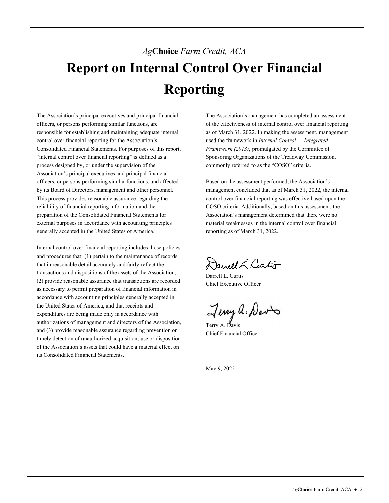# <span id="page-1-0"></span>*Ag***Choice** *Farm Credit, ACA*  **Report on Internal Control Over Financial Reporting**

The Association's principal executives and principal financial officers, or persons performing similar functions, are responsible for establishing and maintaining adequate internal control over financial reporting for the Association's Consolidated Financial Statements. For purposes of this report, "internal control over financial reporting" is defined as a process designed by, or under the supervision of the Association's principal executives and principal financial officers, or persons performing similar functions, and affected by its Board of Directors, management and other personnel. This process provides reasonable assurance regarding the reliability of financial reporting information and the preparation of the Consolidated Financial Statements for external purposes in accordance with accounting principles generally accepted in the United States of America.

Internal control over financial reporting includes those policies and procedures that: (1) pertain to the maintenance of records that in reasonable detail accurately and fairly reflect the transactions and dispositions of the assets of the Association, (2) provide reasonable assurance that transactions are recorded as necessary to permit preparation of financial information in accordance with accounting principles generally accepted in the United States of America, and that receipts and expenditures are being made only in accordance with authorizations of management and directors of the Association, and (3) provide reasonable assurance regarding prevention or timely detection of unauthorized acquisition, use or disposition of the Association's assets that could have a material effect on its Consolidated Financial Statements.

The Association's management has completed an assessment of the effectiveness of internal control over financial reporting as of March 31, 2022. In making the assessment, management used the framework in *Internal Control — Integrated Framework (2013)*, promulgated by the Committee of Sponsoring Organizations of the Treadway Commission, commonly referred to as the "COSO" criteria.

 Association's management determined that there were no Based on the assessment performed, the Association's management concluded that as of March 31, 2022, the internal control over financial reporting was effective based upon the COSO criteria. Additionally, based on this assessment, the material weaknesses in the internal control over financial reporting as of March 31, 2022.

Daneel L. Curtis

Darrell L. Curtis Chief Executive Officer

Jeny a. Davis

Chief Financial Officer

May 9, 2022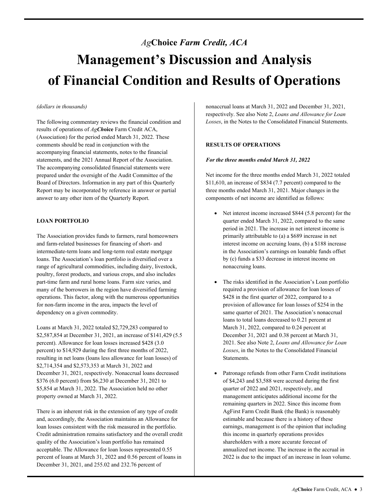## <span id="page-2-0"></span>*Ag***Choice** *Farm Credit, ACA*  **Management's Discussion and Analysis of Financial Condition and Results of Operations**

#### *(dollars in thousands)*

The following commentary reviews the financial condition and results of operations of *AgCh***oice** Farm Credit ACA, (Association) for the period ended March 31, 2022. These comments should be read in conjunction with the accompanying financial statements, notes to the financial statements, and the 2021 Annual Report of the Association. The accompanying consolidated financial statements were prepared under the oversight of the Audit Committee of the Board of Directors. Information in any part of this Quarterly Report may be incorporated by reference in answer or partial answer to any other item of the Quarterly Report.

#### **LOAN PORTFOLIO**

The Association provides funds to farmers, rural homeowners and farm-related businesses for financing of short- and intermediate-term loans and long-term real estate mortgage loans. The Association's loan portfolio is diversified over a range of agricultural commodities, including dairy, livestock, poultry, forest products, and various crops, and also includes part-time farm and rural home loans. Farm size varies, and many of the borrowers in the region have diversified farming operations. This factor, along with the numerous opportunities for non-farm income in the area, impacts the level of dependency on a given commodity.

Loans at March 31, 2022 totaled \$2,729,283 compared to \$2,587,854 at December 31, 2021, an increase of \$141,429 (5.5 percent). Allowance for loan losses increased \$428 (3.0 percent) to \$14,929 during the first three months of 2022, resulting in net loans (loans less allowance for loan losses) of \$2,714,354 and \$2,573,353 at March 31, 2022 and December 31, 2021, respectively. Nonaccrual loans decreased \$376 (6.0 percent) from \$6,230 at December 31, 2021 to \$5,854 at March 31, 2022. The Association held no other property owned at March 31, 2022.

 acceptable. The Allowance for loan losses represented 0.55 December 31, 2021, and 255.02 and 232.76 percent of There is an inherent risk in the extension of any type of credit and, accordingly, the Association maintains an Allowance for loan losses consistent with the risk measured in the portfolio. Credit administration remains satisfactory and the overall credit quality of the Association's loan portfolio has remained percent of loans at March 31, 2022 and 0.56 percent of loans in

respectively. See also Note 2, *Loans and Allowance for Loan Losses*, in the Notes to the Consolidated Financial Statements.

#### **RESULTS OF OPERATIONS**

#### *For the three months ended March 31, 2022*

Net income for the three months ended March 31, 2022 totaled \$11,610, an increase of \$834 (7.7 percent) compared to the three months ended March 31, 2021. Major changes in the components of net income are identified as follows:

- Net interest income increased \$844 (5.8 percent) for the quarter ended March 31, 2022, compared to the same period in 2021. The increase in net interest income is primarily attributable to (a) a \$689 increase in net interest income on accruing loans, (b) a \$188 increase in the Association's earnings on loanable funds offset by (c) funds a \$33 decrease in interest income on nonaccruing loans.
- The risks identified in the Association's Loan portfolio required a provision of allowance for loan losses of \$428 in the first quarter of 2022, compared to a provision of allowance for loan losses of \$254 in the same quarter of 2021. The Association's nonaccrual loans to total loans decreased to 0.21 percent at March 31, 2022, compared to 0.24 percent at December 31, 2021 and 0.38 percent at March 31, 2021. See also Note 2, *Loans and Allowance for Loan Losses*, in the Notes to the Consolidated Financial Statements.
- estimable and because there is a history of these Collision and the method baneon states of the states of the states of the states of the states of the states of the states of the states of the states of the states of the states of the states of the states of the states Patronage refunds from other Farm Credit institutions of \$4,243 and \$3,588 were accrued during the first quarter of 2022 and 2021, respectively, and management anticipates additional income for the remaining quarters in 2022. Since this income from AgFirst Farm Credit Bank (the Bank) is reasonably earnings, management is of the opinion that including this income in quarterly operations provides shareholders with a more accurate forecast of annualized net income. The increase in the accrual in 2022 is due to the impact of an increase in loan volume.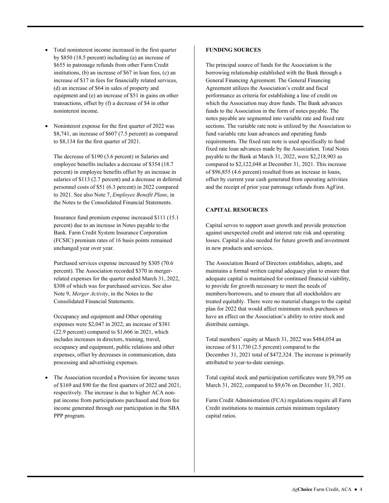- Total noninterest income increased in the first quarter by \$850 (18.5 percent) including (a) an increase of \$655 in patronage refunds from other Farm Credit institutions, (b) an increase of \$67 in loan fees, (c) an increase of \$17 in fees for financially related services, (d) an increase of \$64 in sales of property and equipment and (e) an increase of \$51 in gains on other transactions, offset by (f) a decrease of \$4 in other noninterest income.
- $\bullet$ Noninterest expense for the first quarter of 2022 was \$8,741, an increase of \$607 (7.5 percent) as compared to \$8,134 for the first quarter of 2021.

The decrease of \$190 (3.6 percent) in Salaries and employee benefits includes a decrease of \$354 (18.7 percent) in employee benefits offset by an increase in salaries of \$113 (2.7 percent) and a decrease in deferred personnel costs of \$51 (6.3 percent) in 2022 compared to 2021. See also Note 7, *Employee Benefit Plans*, in the Notes to the Consolidated Financial Statements.

Insurance fund premium expense increased \$111 (15.1 percent) due to an increase in Notes payable to the Bank. Farm Credit System Insurance Corporation (FCSIC) premium rates of 16 basis points remained unchanged year over year.

Purchased services expense increased by \$305 (70.6 percent). The Association recorded \$370 in mergerrelated expenses for the quarter ended March 31, 2022, \$308 of which was for purchased services. See also Note 9, *Merger Activity*, in the Notes to the Consolidated Financial Statements.

 expenses, offset by decreases in communication, data Occupancy and equipment and Other operating expenses were \$2,047 in 2022, an increase of \$381 (22.9 percent) compared to \$1,666 in 2021, which includes increases in directors, training, travel, occupancy and equipment, public relations and other processing and advertising expenses.

 The Association recorded a Provision for income taxes of \$169 and \$90 for the first quarters of 2022 and 2021, respectively. The increase is due to higher ACA nonpat income from participations purchased and from fee income generated through our participation in the SBA PPP program.

#### **FUNDING SOURCES**

 Agreement utilizes the Association's credit and fiscal sections. The variable rate note is utilized by the Association to requirements. The fixed rate note is used specifically to fund offset by current year cash generated from operating activities The principal source of funds for the Association is the borrowing relationship established with the Bank through a General Financing Agreement. The General Financing performance as criteria for establishing a line of credit on which the Association may draw funds. The Bank advances funds to the Association in the form of notes payable. The notes payable are segmented into variable rate and fixed rate fund variable rate loan advances and operating funds fixed rate loan advances made by the Association. Total Notes payable to the Bank at March 31, 2022, were \$2,218,903 as compared to \$2,122,048 at December 31, 2021. This increase of \$96,855 (4.6 percent) resulted from an increase in loans, and the receipt of prior year patronage refunds from AgFirst.

#### **CAPITAL RESOURCES**

Capital serves to support asset growth and provide protection against unexpected credit and interest rate risk and operating losses. Capital is also needed for future growth and investment in new products and services.

 The Association Board of Directors establishes, adopts, and treated equitably. There were no material changes to the capital maintains a formal written capital adequacy plan to ensure that adequate capital is maintained for continued financial viability, to provide for growth necessary to meet the needs of members/borrowers, and to ensure that all stockholders are plan for 2022 that would affect minimum stock purchases or have an effect on the Association's ability to retire stock and distribute earnings.

Total members' equity at March 31, 2022 was \$484,054 an increase of \$11,730 (2.5 percent) compared to the December 31, 2021 total of \$472,324. The increase is primarily attributed to year-to-date earnings.

Total capital stock and participation certificates were \$9,795 on March 31, 2022, compared to \$9,676 on December 31, 2021.

 capital ratios. Farm Credit Administration (FCA) regulations require all Farm Credit institutions to maintain certain minimum regulatory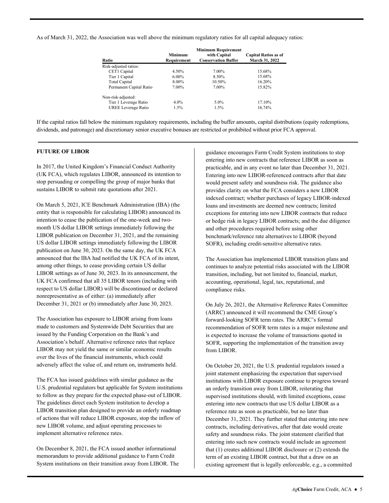As of March 31, 2022, the Association was well above the minimum regulatory ratios for all capital adequacy ratios:

| Ratio                   | <b>Minimum</b><br>Requirement | <b>Minimum Requirement</b><br>with Capital<br><b>Conservation Buffer</b> | <b>Capital Ratios as of</b><br>March 31, 2022 |
|-------------------------|-------------------------------|--------------------------------------------------------------------------|-----------------------------------------------|
| Risk-adjusted ratios:   |                               |                                                                          |                                               |
| CET1 Capital            | 4.50%                         | 7.00%                                                                    | 15.68%                                        |
| Tier 1 Capital          | $6.00\%$                      | 8.50%                                                                    | 15.68%                                        |
| Total Capital           | 8.00%                         | 10.50%                                                                   | 16.20%                                        |
| Permanent Capital Ratio | 7.00%                         | 7.00%                                                                    | 15.82%                                        |
| Non-risk-adjusted:      |                               |                                                                          |                                               |
| Tier 1 Leverage Ratio   | $4.0\%$                       | $5.0\%$                                                                  | 17.10%                                        |
| UREE Leverage Ratio     | $1.5\%$                       | $1.5\%$                                                                  | 16.74%                                        |

If the capital ratios fall below the minimum regulatory requirements, including the buffer amounts, capital distributions (equity redemptions, dividends, and patronage) and discretionary senior executive bonuses are restricted or prohibited without prior FCA approval.

#### **FUTURE OF LIBOR**

In 2017, the United Kingdom's Financial Conduct Authority (UK FCA), which regulates LIBOR, announced its intention to stop persuading or compelling the group of major banks that sustains LIBOR to submit rate quotations after 2021.

On March 5, 2021, ICE Benchmark Administration (IBA) (the entity that is responsible for calculating LIBOR) announced its intention to cease the publication of the one-week and twomonth US dollar LIBOR settings immediately following the LIBOR publication on December 31, 2021, and the remaining US dollar LIBOR settings immediately following the LIBOR publication on June 30, 2023. On the same day, the UK FCA announced that the IBA had notified the UK FCA of its intent, among other things, to cease providing certain US dollar LIBOR settings as of June 30, 2023. In its announcement, the UK FCA confirmed that all 35 LIBOR tenors (including with respect to US dollar LIBOR) will be discontinued or declared nonrepresentative as of either: (a) immediately after December 31, 2021 or (b) immediately after June 30, 2023.

 made to customers and Systemwide Debt Securities that are The Association has exposure to LIBOR arising from loans issued by the Funding Corporation on the Bank's and Association's behalf. Alternative reference rates that replace LIBOR may not yield the same or similar economic results over the lives of the financial instruments, which could adversely affect the value of, and return on, instruments held.

 The guidelines direct each System institution to develop a implement alternative reference rates. The FCA has issued guidelines with similar guidance as the U.S. prudential regulators but applicable for System institutions to follow as they prepare for the expected phase-out of LIBOR. LIBOR transition plan designed to provide an orderly roadmap of actions that will reduce LIBOR exposure, stop the inflow of new LIBOR volume, and adjust operating processes to

On December 8, 2021, the FCA issued another informational memorandum to provide additional guidance to Farm Credit System institutions on their transition away from LIBOR. The

 loans and investments are deemed new contracts; limited guidance encourages Farm Credit System institutions to stop entering into new contracts that reference LIBOR as soon as practicable, and in any event no later than December 31, 2021. Entering into new LIBOR-referenced contracts after that date would present safety and soundness risk. The guidance also provides clarity on what the FCA considers a new LIBOR indexed contract; whether purchases of legacy LIBOR-indexed exceptions for entering into new LIBOR contracts that reduce or hedge risk in legacy LIBOR contracts; and the due diligence and other procedures required before using other benchmark/reference rate alternatives to LIBOR (beyond SOFR), including credit-sensitive alternative rates.

 transition, including, but not limited to, financial, market, The Association has implemented LIBOR transition plans and continues to analyze potential risks associated with the LIBOR accounting, operational, legal, tax, reputational, and compliance risks.

On July 26, 2021, the Alternative Reference Rates Committee (ARRC) announced it will recommend the CME Group's forward-looking SOFR term rates. The ARRC's formal recommendation of SOFR term rates is a major milestone and is expected to increase the volume of transactions quoted in SOFR, supporting the implementation of the transition away from LIBOR.

On October 20, 2021, the U.S. prudential regulators issued a joint statement emphasizing the expectation that supervised institutions with LIBOR exposure continue to progress toward an orderly transition away from LIBOR, reiterating that supervised institutions should, with limited exceptions, cease entering into new contracts that use US dollar LIBOR as a reference rate as soon as practicable, but no later than December 31, 2021. They further stated that entering into new contracts, including derivatives, after that date would create safety and soundness risks. The joint statement clarified that entering into such new contracts would include an agreement that (1) creates additional LIBOR disclosure or (2) extends the term of an existing LIBOR contract, but that a draw on an existing agreement that is legally enforceable, e.g., a committed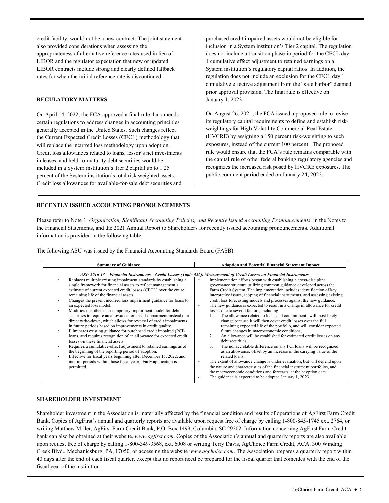LIBOR and the regulator expectation that new or updated credit facility, would not be a new contract. The joint statement also provided considerations when assessing the appropriateness of alternative reference rates used in lieu of LIBOR contracts include strong and clearly defined fallback rates for when the initial reference rate is discontinued.

#### **REGULATORY MATTERS**

On April 14, 2022, the FCA approved a final rule that amends certain regulations to address changes in accounting principles generally accepted in the United States. Such changes reflect the Current Expected Credit Losses (CECL) methodology that will replace the incurred loss methodology upon adoption. Credit loss allowances related to loans, lessor's net investments in leases, and held-to-maturity debt securities would be included in a System institution's Tier 2 capital up to 1.25 percent of the System institution's total risk weighted assets. Credit loss allowances for available-for-sale debt securities and purchased credit impaired assets would not be eligible for inclusion in a System institution's Tier 2 capital. The regulation does not include a transition phase-in period for the CECL day 1 cumulative effect adjustment to retained earnings on a System institution's regulatory capital ratios. In addition, the regulation does not include an exclusion for the CECL day 1 cumulative effective adjustment from the "safe harbor" deemed prior approval provision. The final rule is effective on January 1, 2023.

On August 26, 2021, the FCA issued a proposed rule to revise its regulatory capital requirements to define and establish riskweightings for High Volatility Commercial Real Estate (HVCRE) by assigning a 150 percent risk-weighting to such exposures, instead of the current 100 percent. The proposed rule would ensure that the FCA's rule remains comparable with the capital rule of other federal banking regulatory agencies and recognizes the increased risk posed by HVCRE exposures. The public comment period ended on January 24, 2022.

#### **RECENTLY ISSUED ACCOUNTING PRONOUNCEMENTS**

Please refer to Note 1, *Organization, Significant Accounting Policies, and Recently Issued Accounting Pronouncements*, in the Notes to the Financial Statements, and the 2021 Annual Report to Shareholders for recently issued accounting pronouncements. Additional information is provided in the following table.

The following ASU was issued by the Financial Accounting Standards Board (FASB):

| <b>Summary of Guidance</b>                                                                                                                                                                                                                                                                                                                                                                                                                                                                                                                                                                                                                                                                                                                                                                                                                                                                                                                                                                                                                                                                                       | <b>Adoption and Potential Financial Statement Impact</b>                                                                                                                                                                                                                                                                                                                                                                                                                                                                                                                                                                                                                                                                                                                                                                                                                                                                                                                                                                                                                                                                                                                                                                                                                                                                                              |
|------------------------------------------------------------------------------------------------------------------------------------------------------------------------------------------------------------------------------------------------------------------------------------------------------------------------------------------------------------------------------------------------------------------------------------------------------------------------------------------------------------------------------------------------------------------------------------------------------------------------------------------------------------------------------------------------------------------------------------------------------------------------------------------------------------------------------------------------------------------------------------------------------------------------------------------------------------------------------------------------------------------------------------------------------------------------------------------------------------------|-------------------------------------------------------------------------------------------------------------------------------------------------------------------------------------------------------------------------------------------------------------------------------------------------------------------------------------------------------------------------------------------------------------------------------------------------------------------------------------------------------------------------------------------------------------------------------------------------------------------------------------------------------------------------------------------------------------------------------------------------------------------------------------------------------------------------------------------------------------------------------------------------------------------------------------------------------------------------------------------------------------------------------------------------------------------------------------------------------------------------------------------------------------------------------------------------------------------------------------------------------------------------------------------------------------------------------------------------------|
|                                                                                                                                                                                                                                                                                                                                                                                                                                                                                                                                                                                                                                                                                                                                                                                                                                                                                                                                                                                                                                                                                                                  | ASU 2016-13 – Financial Instruments – Credit Losses (Topic 326): Measurement of Credit Losses on Financial Instruments                                                                                                                                                                                                                                                                                                                                                                                                                                                                                                                                                                                                                                                                                                                                                                                                                                                                                                                                                                                                                                                                                                                                                                                                                                |
| Replaces multiple existing impairment standards by establishing a<br>٠<br>single framework for financial assets to reflect management's<br>estimate of current expected credit losses (CECL) over the entire<br>remaining life of the financial assets.<br>Changes the present incurred loss impairment guidance for loans to<br>an expected loss model.<br>Modifies the other-than-temporary impairment model for debt<br>٠<br>securities to require an allowance for credit impairment instead of a<br>direct write-down, which allows for reversal of credit impairments<br>in future periods based on improvements in credit quality.<br>Eliminates existing guidance for purchased credit impaired (PCI)<br>٠<br>loans, and requires recognition of an allowance for expected credit<br>losses on these financial assets.<br>Requires a cumulative-effect adjustment to retained earnings as of<br>the beginning of the reporting period of adoption.<br>Effective for fiscal years beginning after December 15, 2022, and<br>interim periods within those fiscal years. Early application is<br>permitted. | Implementation efforts began with establishing a cross-discipline<br>governance structure utilizing common guidance developed across the<br>Farm Credit System. The implementation includes identification of key<br>interpretive issues, scoping of financial instruments, and assessing existing<br>credit loss forecasting models and processes against the new guidance.<br>The new guidance is expected to result in a change in allowance for credit<br>٠<br>losses due to several factors, including:<br>The allowance related to loans and commitments will most likely<br>change because it will then cover credit losses over the full<br>remaining expected life of the portfolio, and will consider expected<br>future changes in macroeconomic conditions,<br>An allowance will be established for estimated credit losses on any<br>$\mathcal{L}$<br>debt securities.<br>3.<br>The nonaccretable difference on any PCI loans will be recognized<br>as an allowance, offset by an increase in the carrying value of the<br>related loans.<br>The extent of allowance change is under evaluation, but will depend upon<br>the nature and characteristics of the financial instrument portfolios, and<br>the macroeconomic conditions and forecasts, at the adoption date.<br>The guidance is expected to be adopted January 1, 2023.<br>٠ |

#### **SHAREHOLDER INVESTMENT**

Shareholder investment in the Association is materially affected by the financial condition and results of operations of AgFirst Farm Credit Bank. Copies of AgFirst's annual and quarterly reports are available upon request free of charge by calling 1-800-845-1745 ext. 2764, or writing Matthew Miller, AgFirst Farm Credit Bank, P.O. Box 1499, Columbia, SC 29202. Information concerning AgFirst Farm Credit bank can also be obtained at their website, *<www.agfirst.com>*. Copies of the Association's annual and quarterly reports are also available upon request free of charge by calling 1-800-349-3568, ext. 6008 or writing Terry Davis, AgChoice Farm Credit, ACA, 300 Winding Creek Blvd., Mechanicsburg, PA, 17050, or accessing the website *<www.agchoice.com>*. The Association prepares a quarterly report within 40 days after the end of each fiscal quarter, except that no report need be prepared for the fiscal quarter that coincides with the end of the fiscal year of the institution.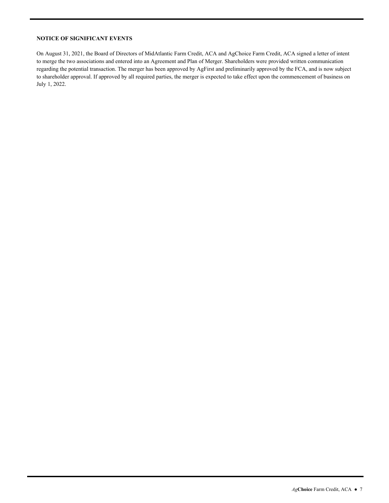#### **NOTICE OF SIGNIFICANT EVENTS**

On August 31, 2021, the Board of Directors of MidAtlantic Farm Credit, ACA and AgChoice Farm Credit, ACA signed a letter of intent to merge the two associations and entered into an Agreement and Plan of Merger. Shareholders were provided written communication regarding the potential transaction. The merger has been approved by AgFirst and preliminarily approved by the FCA, and is now subject to shareholder approval. If approved by all required parties, the merger is expected to take effect upon the commencement of business on July 1, 2022.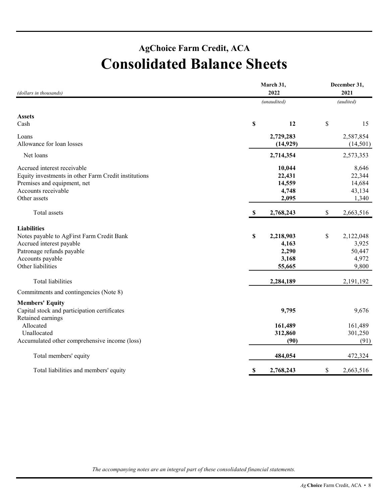### **AgChoice Farm Credit, ACA Consolidated Balance Sheets**

| (dollars in thousands)                               | March 31,<br>2022         | December 31,<br>2021 |
|------------------------------------------------------|---------------------------|----------------------|
|                                                      | (unaudited)               | (audited)            |
| <b>Assets</b>                                        |                           |                      |
| Cash                                                 | \$<br>12                  | \$<br>15             |
| Loans                                                | 2,729,283                 | 2,587,854            |
| Allowance for loan losses                            | (14, 929)                 | (14, 501)            |
| Net loans                                            | 2,714,354                 | 2,573,353            |
| Accrued interest receivable                          | 10,044                    | 8,646                |
| Equity investments in other Farm Credit institutions | 22,431                    | 22,344               |
| Premises and equipment, net                          | 14,559                    | 14,684               |
| Accounts receivable                                  | 4,748                     | 43,134               |
| Other assets                                         | 2,095                     | 1,340                |
| Total assets                                         | $\mathbb{S}$<br>2,768,243 | \$<br>2,663,516      |
| <b>Liabilities</b>                                   |                           |                      |
| Notes payable to AgFirst Farm Credit Bank            | $\mathbb S$<br>2,218,903  | \$<br>2,122,048      |
| Accrued interest payable                             | 4,163                     | 3,925                |
| Patronage refunds payable                            | 2,290                     | 50,447               |
| Accounts payable                                     | 3,168                     | 4,972                |
| Other liabilities                                    | 55,665                    | 9,800                |
| <b>Total liabilities</b>                             | 2,284,189                 | 2,191,192            |
| Commitments and contingencies (Note 8)               |                           |                      |
| <b>Members' Equity</b>                               |                           |                      |
| Capital stock and participation certificates         | 9,795                     | 9,676                |
| Retained earnings                                    |                           |                      |
| Allocated                                            | 161,489                   | 161,489              |
| Unallocated                                          | 312,860                   | 301,250              |
| Accumulated other comprehensive income (loss)        | (90)                      | (91)                 |
| Total members' equity                                | 484,054                   | 472,324              |
| Total liabilities and members' equity                | $\mathbb{S}$<br>2,768,243 | \$<br>2,663,516      |

*The accompanying notes are an integral part of these consolidated financial statements.*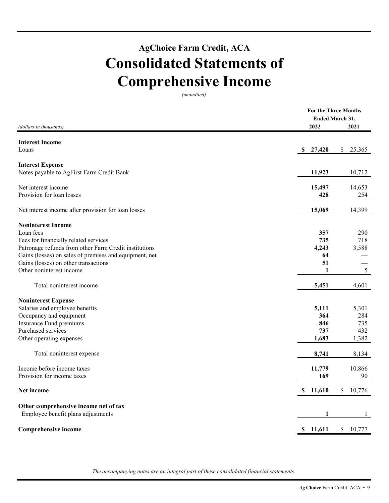### **AgChoice Farm Credit, ACA Consolidated Statements of Comprehensive Income**

*(unaudited)* 

|                                                        |              | <b>For the Three Months</b> |
|--------------------------------------------------------|--------------|-----------------------------|
|                                                        |              | <b>Ended March 31,</b>      |
| (dollars in thousands)                                 | 2022         | 2021                        |
| <b>Interest Income</b>                                 |              |                             |
| Loans                                                  | S<br>27,420  | <sup>\$</sup><br>25,365     |
| <b>Interest Expense</b>                                |              |                             |
| Notes payable to AgFirst Farm Credit Bank              | 11,923       | 10,712                      |
| Net interest income                                    | 15,497       | 14,653                      |
| Provision for loan losses                              | 428          | 254                         |
| Net interest income after provision for loan losses    | 15,069       | 14,399                      |
| <b>Noninterest Income</b>                              |              |                             |
| Loan fees                                              | 357          | 290                         |
| Fees for financially related services                  | 735          | 718                         |
| Patronage refunds from other Farm Credit institutions  | 4,243        | 3,588                       |
| Gains (losses) on sales of premises and equipment, net | 64           |                             |
| Gains (losses) on other transactions                   | 51           |                             |
| Other noninterest income                               | 1            | 5                           |
| Total noninterest income                               | 5,451        | 4,601                       |
| <b>Noninterest Expense</b>                             |              |                             |
| Salaries and employee benefits                         | 5,111        | 5,301                       |
| Occupancy and equipment                                | 364          | 284                         |
| Insurance Fund premiums                                | 846          | 735                         |
| Purchased services                                     | 737          | 432                         |
| Other operating expenses                               | 1,683        | 1,382                       |
| Total noninterest expense                              | 8,741        | 8,134                       |
| Income before income taxes                             | 11,779       | 10,866                      |
| Provision for income taxes                             | 169          | 90                          |
| Net income                                             | \$11,610     | $\mathcal{S}$<br>10,776     |
| Other comprehensive income net of tax                  |              |                             |
| Employee benefit plans adjustments                     | 1            | 1                           |
| <b>Comprehensive income</b>                            | \$<br>11,611 | \$<br>10,777                |
|                                                        |              |                             |

*The accompanying notes are an integral part of these consolidated financial statements.*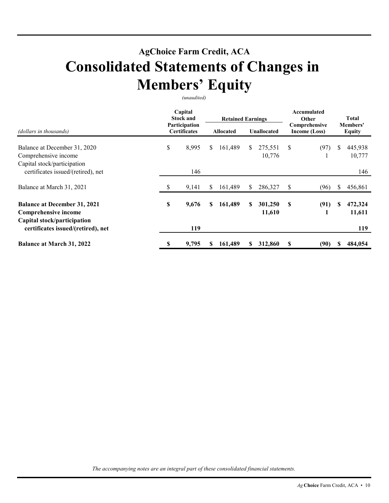### **AgChoice Farm Credit, ACA Consolidated Statements of Changes in Members' Equity**

*(unaudited)* 

|                                                                                            | Capital<br><b>Stock and</b><br>Participation<br><b>Certificates</b> |       |    | <b>Retained Earnings</b> |     |                    | Accumulated<br>Other           |      | <b>Total</b>              |                   |
|--------------------------------------------------------------------------------------------|---------------------------------------------------------------------|-------|----|--------------------------|-----|--------------------|--------------------------------|------|---------------------------|-------------------|
| (dollars in thousands)                                                                     |                                                                     |       |    | <b>Allocated</b>         |     | <b>Unallocated</b> | Comprehensive<br>Income (Loss) |      | Members'<br><b>Equity</b> |                   |
| Balance at December 31, 2020<br>Comprehensive income<br>Capital stock/participation        | \$                                                                  | 8,995 | S  | 161,489                  | \$. | 275,551<br>10,776  | S                              | (97) | \$                        | 445,938<br>10,777 |
| certificates issued/(retired), net                                                         |                                                                     | 146   |    |                          |     |                    |                                |      |                           | 146               |
| Balance at March 31, 2021                                                                  | \$                                                                  | 9,141 | S. | 161,489                  | \$  | 286,327            | S                              | (96) | \$.                       | 456,861           |
| <b>Balance at December 31, 2021</b><br>Comprehensive income<br>Capital stock/participation | \$                                                                  | 9,676 | S  | 161,489                  | S   | 301,250<br>11,610  | S                              | (91) | S                         | 472,324<br>11,611 |
| certificates issued/(retired), net                                                         |                                                                     | 119   |    |                          |     |                    |                                |      |                           | 119               |
| <b>Balance at March 31, 2022</b>                                                           | \$                                                                  | 9,795 | S. | 161,489                  | S   | 312,860            | S                              | (90) |                           | 484,054           |

*The accompanying notes are an integral part of these consolidated financial statements.*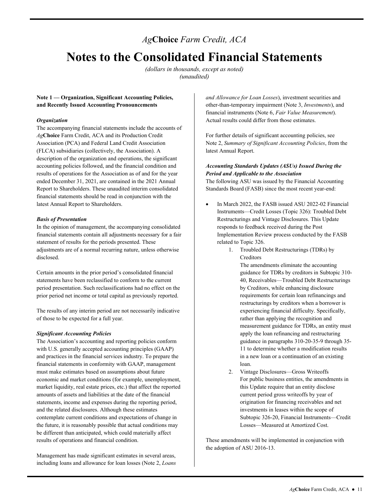### *Ag***Choice** *Farm Credit, ACA*

### **Notes to the Consolidated Financial Statements**

*(dollars in thousands, except as noted) (unaudited)* 

#### **Note 1 — Organization, Significant Accounting Policies, and Recently Issued Accounting Pronouncements**

#### *Organization*

The accompanying financial statements include the accounts of *Ag***Choice** Farm Credit, ACA and its Production Credit Association (PCA) and Federal Land Credit Association (FLCA) subsidiaries (collectively, the Association). A description of the organization and operations, the significant accounting policies followed, and the financial condition and results of operations for the Association as of and for the year ended December 31, 2021, are contained in the 2021 Annual Report to Shareholders. These unaudited interim consolidated financial statements should be read in conjunction with the latest Annual Report to Shareholders.

#### *Basis of Presentation*

In the opinion of management, the accompanying consolidated financial statements contain all adjustments necessary for a fair statement of results for the periods presented. These adjustments are of a normal recurring nature, unless otherwise disclosed.

Certain amounts in the prior period's consolidated financial statements have been reclassified to conform to the current period presentation. Such reclassifications had no effect on the prior period net income or total capital as previously reported.

 of those to be expected for a full year. The results of any interim period are not necessarily indicative

#### *Significant Accounting Policies*

The Association's accounting and reporting policies conform with U.S. generally accepted accounting principles (GAAP) and practices in the financial services industry. To prepare the financial statements in conformity with GAAP, management must make estimates based on assumptions about future economic and market conditions (for example, unemployment, market liquidity, real estate prices, etc.) that affect the reported amounts of assets and liabilities at the date of the financial statements, income and expenses during the reporting period, and the related disclosures. Although these estimates contemplate current conditions and expectations of change in the future, it is reasonably possible that actual conditions may be different than anticipated, which could materially affect results of operations and financial condition.

Management has made significant estimates in several areas, including loans and allowance for loan losses (Note 2, *Loans*  *and Allowance for Loan Losses*), investment securities and other-than-temporary impairment (Note 3, *Investments*), and financial instruments (Note 6, *Fair Value Measurement*). Actual results could differ from those estimates.

For further details of significant accounting policies, see Note 2, *Summary of Significant Accounting Policies*, from the latest Annual Report.

#### *Accounting Standards Updates (ASUs) Issued During the Period and Applicable to the Association*

 Standards Board (FASB) since the most recent year-end: The following ASU was issued by the Financial Accounting

- In March 2022, the FASB issued ASU 2022-02 Financial Instruments—Credit Losses (Topic 326): Troubled Debt Restructurings and Vintage Disclosures. This Update responds to feedback received during the Post Implementation Review process conducted by the FASB related to Topic 326.
	- 1. Troubled Debt Restructurings (TDRs) by Creditors

The amendments eliminate the accounting guidance for TDRs by creditors in Subtopic 310- 40, Receivables—Troubled Debt Restructurings by Creditors, while enhancing disclosure requirements for certain loan refinancings and restructurings by creditors when a borrower is experiencing financial difficulty. Specifically, rather than applying the recognition and measurement guidance for TDRs, an entity must apply the loan refinancing and restructuring guidance in paragraphs 310-20-35-9 through 35- 11 to determine whether a modification results in a new loan or a continuation of an existing loan.

 current period gross writeoffs by year of Losses—Measured at Amortized Cost. 2. Vintage Disclosures—Gross Writeoffs For public business entities, the amendments in this Update require that an entity disclose origination for financing receivables and net investments in leases within the scope of Subtopic 326-20, Financial Instruments—Credit

These amendments will be implemented in conjunction with the adoption of ASU 2016-13.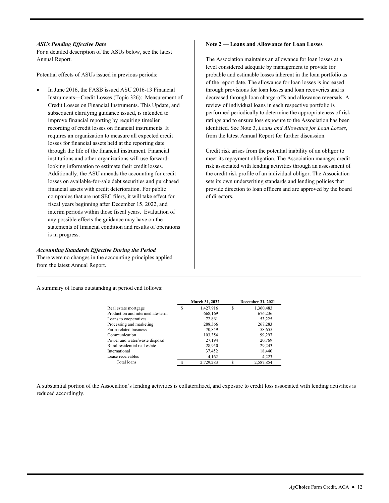#### *ASUs Pending Effective Date*

For a detailed description of the ASUs below, see the latest Annual Report.

Potential effects of ASUs issued in previous periods:

 interim periods within those fiscal years. Evaluation of In June 2016, the FASB issued ASU 2016-13 Financial Instruments—Credit Losses (Topic 326): Measurement of Credit Losses on Financial Instruments. This Update, and subsequent clarifying guidance issued, is intended to improve financial reporting by requiring timelier recording of credit losses on financial instruments. It requires an organization to measure all expected credit losses for financial assets held at the reporting date through the life of the financial instrument. Financial institutions and other organizations will use forwardlooking information to estimate their credit losses. Additionally, the ASU amends the accounting for credit losses on available-for-sale debt securities and purchased financial assets with credit deterioration. For public companies that are not SEC filers, it will take effect for fiscal years beginning after December 15, 2022, and any possible effects the guidance may have on the statements of financial condition and results of operations is in progress.

#### *Accounting Standards Effective During the Period*

There were no changes in the accounting principles applied from the latest Annual Report.

#### **Note 2 — Loans and Allowance for Loan Losses**

The Association maintains an allowance for loan losses at a level considered adequate by management to provide for probable and estimable losses inherent in the loan portfolio as of the report date. The allowance for loan losses is increased through provisions for loan losses and loan recoveries and is decreased through loan charge-offs and allowance reversals. A review of individual loans in each respective portfolio is performed periodically to determine the appropriateness of risk ratings and to ensure loss exposure to the Association has been identified. See Note 3, *Loans and Allowance for Loan Losses*, from the latest Annual Report for further discussion.

Credit risk arises from the potential inability of an obligor to meet its repayment obligation. The Association manages credit risk associated with lending activities through an assessment of the credit risk profile of an individual obligor. The Association sets its own underwriting standards and lending policies that provide direction to loan officers and are approved by the board of directors.

A summary of loans outstanding at period end follows:

|                                  |   | March 31, 2022 |   | December 31, 2021 |
|----------------------------------|---|----------------|---|-------------------|
| Real estate mortgage             | S | 1,427,916      | S | 1,360,483         |
| Production and intermediate-term |   | 668,169        |   | 676,236           |
| Loans to cooperatives            |   | 72,861         |   | 53,225            |
| Processing and marketing         |   | 288,366        |   | 267,283           |
| Farm-related business            |   | 70,859         |   | 58,655            |
| Communication                    |   | 103.354        |   | 99.297            |
| Power and water/waste disposal   |   | 27.194         |   | 20.769            |
| Rural residential real estate    |   | 28,950         |   | 29,243            |
| International                    |   | 37,452         |   | 18,440            |
| Lease receivables                |   | 4,162          |   | 4,223             |
| Total loans                      |   | 2.729.283      |   | 2,587,854         |

A substantial portion of the Association's lending activities is collateralized, and exposure to credit loss associated with lending activities is reduced accordingly.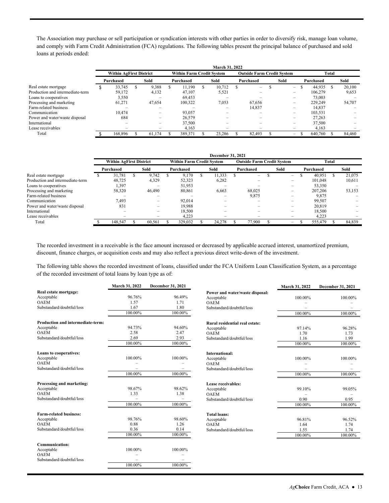The Association may purchase or sell participation or syndication interests with other parties in order to diversify risk, manage loan volume, and comply with Farm Credit Administration (FCA) regulations. The following tables present the principal balance of purchased and sold loans at periods ended:

|                                  | March 31, 2022                 |  |        |  |                                  |     |                          |  |                                   |  |      |                          |           |        |  |        |
|----------------------------------|--------------------------------|--|--------|--|----------------------------------|-----|--------------------------|--|-----------------------------------|--|------|--------------------------|-----------|--------|--|--------|
|                                  | <b>Within AgFirst District</b> |  |        |  | <b>Within Farm Credit System</b> |     |                          |  | <b>Outside Farm Credit System</b> |  |      |                          | Total     |        |  |        |
|                                  | Purchased                      |  | Sold   |  | Purchased                        |     | Sold                     |  | Purchased                         |  | Sold |                          | Purchased |        |  | Sold   |
| Real estate mortgage             | 33.745                         |  | 9,388  |  | 11.190                           | \$. | 10.712                   |  | $-$                               |  |      | $\overline{\phantom{0}}$ |           | 44.935 |  | 20,100 |
| Production and intermediate-term | 59.172                         |  | 4,132  |  | 47.107                           |     | 5,521                    |  | $\overline{\phantom{0}}$          |  |      | $\overline{\phantom{0}}$ | 106.279   |        |  | 9,653  |
| Loans to cooperatives            | 3,550                          |  |        |  | 69,453                           |     |                          |  |                                   |  |      | -                        |           | 73,003 |  |        |
| Processing and marketing         | 61,271                         |  | 47.654 |  | 100.322                          |     | 7,053                    |  | 67,656                            |  |      | $\overline{\phantom{0}}$ | 229,249   |        |  | 54,707 |
| Farm-related business            |                                |  |        |  |                                  |     |                          |  | 14,837                            |  |      |                          |           | 14,837 |  |        |
| Communication                    | 10.474                         |  | -      |  | 93,057                           |     |                          |  | -                                 |  |      | $\overline{\phantom{0}}$ | 103,531   |        |  |        |
| Power and water/waste disposal   | 684                            |  | -      |  | 26,579                           |     | $\overline{\phantom{a}}$ |  | -                                 |  |      | $\overline{\phantom{0}}$ |           | 27,263 |  |        |
| International                    | -                              |  | -      |  | 37,500                           |     | $\overline{\phantom{0}}$ |  | $\overline{\phantom{0}}$          |  |      | $\overline{\phantom{0}}$ |           | 37,500 |  |        |
| Lease receivables                | $\overline{\phantom{0}}$       |  |        |  | 4,163                            |     | $\overline{\phantom{0}}$ |  | $\overline{\phantom{0}}$          |  |      | $\overline{\phantom{0}}$ |           | 4,163  |  |        |
| Total                            | 168.896                        |  | 61.174 |  | 389.371                          |     | 23.286                   |  | 82,493                            |  |      | $\overline{\phantom{m}}$ | 640,760   |        |  | 84,460 |

|                                  | <b>December 31, 2021</b> |                                |  |                          |  |           |                                  |                          |  |                                   |  |                          |  |           |  |        |  |
|----------------------------------|--------------------------|--------------------------------|--|--------------------------|--|-----------|----------------------------------|--------------------------|--|-----------------------------------|--|--------------------------|--|-----------|--|--------|--|
|                                  |                          | <b>Within AgFirst District</b> |  |                          |  |           | <b>Within Farm Credit System</b> |                          |  | <b>Outside Farm Credit System</b> |  |                          |  | Total     |  |        |  |
|                                  |                          | Purchased                      |  | Sold                     |  | Purchased |                                  | Sold                     |  | Purchased                         |  | Sold                     |  | Purchased |  | Sold   |  |
| Real estate mortgage             |                          | 31.781                         |  | 9.742                    |  | 9.170     |                                  | 11.333                   |  | $-$                               |  | -                        |  | 40.951    |  | 21.075 |  |
| Production and intermediate-term |                          | 48.725                         |  | 4,329                    |  | 52.323    |                                  | 6,282                    |  |                                   |  | $\overline{\phantom{0}}$ |  | 101.048   |  | 10,611 |  |
| Loans to cooperatives            |                          | 1.397                          |  | -                        |  | 51.953    |                                  | $\overline{\phantom{0}}$ |  |                                   |  |                          |  | 53,350    |  |        |  |
| Processing and marketing         |                          | 58,320                         |  | 46,490                   |  | 80.861    |                                  | 6,663                    |  | 68,025                            |  | -                        |  | 207,206   |  | 53,153 |  |
| Farm-related business            |                          |                                |  | -                        |  |           |                                  | $\overline{\phantom{0}}$ |  | 9,875                             |  | $\overline{\phantom{0}}$ |  | 9,875     |  |        |  |
| Communication                    |                          | 7.493                          |  | $\overline{\phantom{a}}$ |  | 92.014    |                                  | $\overline{\phantom{0}}$ |  |                                   |  | $\overline{\phantom{0}}$ |  | 99,507    |  |        |  |
| Power and water/waste disposal   |                          | 83                             |  | -                        |  | 19.988    |                                  | $\overline{\phantom{a}}$ |  |                                   |  | -                        |  | 20,819    |  |        |  |
| International                    |                          |                                |  | -                        |  | 18.500    |                                  | $\overline{\phantom{a}}$ |  |                                   |  | $\overline{\phantom{0}}$ |  | 18.500    |  |        |  |
| Lease receivables                |                          | -                              |  | -                        |  | 4.223     |                                  | $\overline{\phantom{0}}$ |  | -                                 |  | $\overline{\phantom{0}}$ |  | 4.223     |  |        |  |
| Total                            |                          | 148,547                        |  | 60,561                   |  | 329,032   |                                  | 24.278                   |  | 77.900                            |  | $\overline{\phantom{0}}$ |  | 555,479   |  | 84,839 |  |

The recorded investment in a receivable is the face amount increased or decreased by applicable accrued interest, unamortized premium, discount, finance charges, or acquisition costs and may also reflect a previous direct write-down of the investment.

 of the recorded investment of total loans by loan type as of: The following table shows the recorded investment of loans, classified under the FCA Uniform Loan Classification System, as a percentage

|                                   | March 31, 2022 | December 31, 2021 |                                 | March 31, 2022 | December 31, 2021 |
|-----------------------------------|----------------|-------------------|---------------------------------|----------------|-------------------|
| Real estate mortgage:             |                |                   | Power and water/waste disposal: |                |                   |
| Acceptable                        | 96.76%         | 96.49%            | Acceptable                      | 100.00%        | 100.00%           |
| <b>OAEM</b>                       | 1.57           | 1.71              | <b>OAEM</b>                     |                |                   |
| Substandard/doubtful/loss         | 1.67           | 1.80              | Substandard/doubtful/loss       |                |                   |
|                                   | 100.00%        | $100.00\%$        |                                 | 100.00%        | 100.00%           |
| Production and intermediate-term: |                |                   | Rural residential real estate:  |                |                   |
| Acceptable                        | 94.73%         | 94.60%            | Acceptable                      | 97.14%         | 96.28%            |
| <b>OAEM</b>                       | 2.58           | 2.47              | <b>OAEM</b>                     | 1.70           | 1.73              |
| Substandard/doubtful/loss         | 2.69           | 2.93              | Substandard/doubtful/loss       | 1.16           | 1.99              |
|                                   | 100.00%        | 100.00%           |                                 | 100.00%        | 100.00%           |
| <b>Loans to cooperatives:</b>     |                |                   | International:                  |                |                   |
| Acceptable                        | 100.00%        | 100.00%           | Acceptable                      | 100.00%        | 100.00%           |
| <b>OAEM</b>                       |                |                   | <b>OAEM</b>                     |                |                   |
| Substandard/doubtful/loss         |                |                   | Substandard/doubtful/loss       |                |                   |
|                                   | 100.00%        | 100.00%           |                                 | 100.00%        | 100.00%           |
| Processing and marketing:         |                |                   | Lease receivables:              |                |                   |
| Acceptable                        | 98.67%         | 98.62%            | Acceptable                      | 99.10%         | 99.05%            |
| <b>OAEM</b>                       | 1.33           | 1.38              | <b>OAEM</b>                     |                |                   |
| Substandard/doubtful/loss         |                |                   | Substandard/doubtful/loss       | 0.90           | 0.95              |
|                                   | 100.00%        | 100.00%           |                                 | 100.00%        | 100.00%           |
| <b>Farm-related business:</b>     |                |                   | <b>Total loans:</b>             |                |                   |
| Acceptable                        | 98.76%         | 98.60%            | Acceptable                      | 96.81%         | 96.52%            |
| <b>OAEM</b>                       | 0.88           | 1.26              | <b>OAEM</b>                     | 1.64           | 1.74              |
| Substandard/doubtful/loss         | 0.36           | 0.14              | Substandard/doubtful/loss       | 1.55           | 1.74              |
|                                   | 100.00%        | 100.00%           |                                 | 100.00%        | 100.00%           |
| Communication:                    |                |                   |                                 |                |                   |
| Acceptable                        | 100.00%        | 100.00%           |                                 |                |                   |
| <b>OAEM</b>                       |                |                   |                                 |                |                   |
| Substandard/doubtful/loss         |                |                   |                                 |                |                   |
|                                   | 100.00%        | 100.00%           |                                 |                |                   |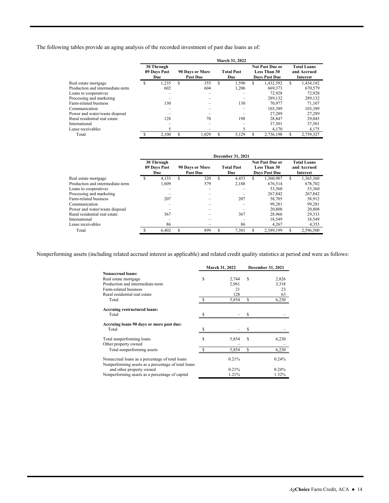The following tables provide an aging analysis of the recorded investment of past due loans as of:

|                                  |   |                                   |   |                                    |   | March 31, 2022           |   |                                                                |                                                      |           |  |
|----------------------------------|---|-----------------------------------|---|------------------------------------|---|--------------------------|---|----------------------------------------------------------------|------------------------------------------------------|-----------|--|
|                                  |   | 30 Through<br>89 Days Past<br>Due |   | 90 Days or More<br><b>Past Due</b> |   | <b>Total Past</b><br>Due |   | <b>Not Past Due or</b><br><b>Less Than 30</b><br>Days Past Due | <b>Total Loans</b><br>and Accrued<br><b>Interest</b> |           |  |
| Real estate mortgage             | ъ | 1.235                             | S | 355                                | S | 1.590                    | S | 1.432.592                                                      | S                                                    | 1,434,182 |  |
| Production and intermediate-term |   | 602                               |   | 604                                |   | 1.206                    |   | 669,373                                                        |                                                      | 670,579   |  |
| Loans to cooperatives            |   |                                   |   |                                    |   |                          |   | 72.928                                                         |                                                      | 72,928    |  |
| Processing and marketing         |   |                                   |   |                                    |   |                          |   | 289,132                                                        |                                                      | 289,132   |  |
| Farm-related business            |   | 130                               |   |                                    |   | 130                      |   | 70.977                                                         |                                                      | 71.107    |  |
| Communication                    |   |                                   |   |                                    |   |                          |   | 103.389                                                        |                                                      | 103.389   |  |
| Power and water/waste disposal   |   |                                   |   |                                    |   |                          |   | 27.289                                                         |                                                      | 27.289    |  |
| Rural residential real estate    |   | 128                               |   | 70                                 |   | 198                      |   | 28,847                                                         |                                                      | 29,045    |  |
| International                    |   |                                   |   |                                    |   |                          |   | 37,501                                                         |                                                      | 37,501    |  |
| Lease receivables                |   |                                   |   |                                    |   |                          |   | 4,170                                                          |                                                      | 4,175     |  |
| Total                            |   | 2.100                             | S | 1.029                              | S | 3.129                    | S | 2,736,198                                                      | S                                                    | 2.739.327 |  |

|                                  |   |                                   |   |                                    |    | December 31, 2021        |   |                                                                       |                                                      |           |
|----------------------------------|---|-----------------------------------|---|------------------------------------|----|--------------------------|---|-----------------------------------------------------------------------|------------------------------------------------------|-----------|
|                                  |   | 30 Through<br>89 Days Past<br>Due |   | 90 Days or More<br><b>Past Due</b> |    | <b>Total Past</b><br>Due |   | <b>Not Past Due or</b><br><b>Less Than 30</b><br><b>Days Past Due</b> | <b>Total Loans</b><br>and Accrued<br><b>Interest</b> |           |
| Real estate mortgage             | S | 4,133                             | S | 320                                | \$ | 4.453                    | S | 1.360.907                                                             | S                                                    | 1,365,360 |
| Production and intermediate-term |   | 1,609                             |   | 579                                |    | 2.188                    |   | 676.514                                                               |                                                      | 678,702   |
| Loans to cooperatives            |   |                                   |   |                                    |    |                          |   | 53,360                                                                |                                                      | 53,360    |
| Processing and marketing         |   |                                   |   |                                    |    |                          |   | 267,842                                                               |                                                      | 267,842   |
| Farm-related business            |   | 207                               |   |                                    |    | 207                      |   | 58,705                                                                |                                                      | 58.912    |
| Communication                    |   |                                   |   |                                    |    |                          |   | 99.281                                                                |                                                      | 99.281    |
| Power and water/waste disposal   |   |                                   |   |                                    |    |                          |   | 20.808                                                                |                                                      | 20,808    |
| Rural residential real estate    |   | 367                               |   |                                    |    | 367                      |   | 28,966                                                                |                                                      | 29,333    |
| International                    |   |                                   |   |                                    |    |                          |   | 18,549                                                                |                                                      | 18,549    |
| Lease receivables                |   | 86                                |   |                                    |    | 86                       |   | 4,267                                                                 |                                                      | 4,353     |
| Total                            |   | 6.402                             | S | 899                                | S  | 7.301                    | S | 2.589.199                                                             | S                                                    | 2.596.500 |

Nonperforming assets (including related accrued interest as applicable) and related credit quality statistics at period end were as follows:

|                                                                                 |    | March 31, 2022 |    | December 31, 2021 |
|---------------------------------------------------------------------------------|----|----------------|----|-------------------|
| <b>Nonaccrual loans:</b>                                                        |    |                |    |                   |
| Real estate mortgage                                                            | \$ | 2,744          | \$ | 2,826             |
| Production and intermediate-term                                                |    | 2,961          |    | 3,318             |
| Farm-related business                                                           |    | 21             |    | 23                |
| Rural residential real estate                                                   |    | 128            |    | 63                |
| Total                                                                           |    | 5,854          | \$ | 6,230             |
| <b>Accruing restructured loans:</b>                                             |    |                |    |                   |
| Total                                                                           | -8 |                | S  |                   |
| Accruing loans 90 days or more past due:                                        |    |                |    |                   |
| Total                                                                           |    |                |    |                   |
| Total nonperforming loans                                                       | \$ | 5,854          | \$ | 6,230             |
| Other property owned                                                            |    |                |    |                   |
| Total nonperforming assets                                                      |    | 5,854          | S  | 6,230             |
| Nonaccrual loans as a percentage of total loans                                 |    | 0.21%          |    | 0.24%             |
| Nonperforming assets as a percentage of total loans<br>and other property owned |    | 0.21%          |    | $0.24\%$          |
| Nonperforming assets as a percentage of capital                                 |    | 1.21%          |    | 1.32%             |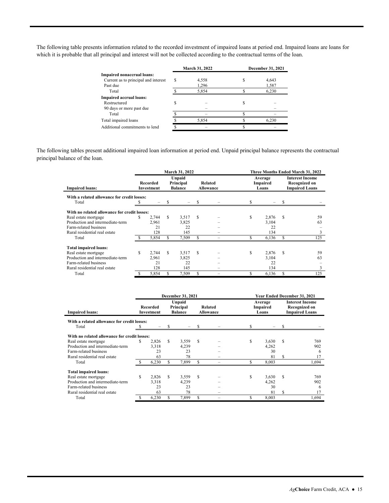The following table presents information related to the recorded investment of impaired loans at period end. Impaired loans are loans for which it is probable that all principal and interest will not be collected according to the contractual terms of the loan.

|                                      | <b>March 31, 2022</b> |   | December 31, 2021 |
|--------------------------------------|-----------------------|---|-------------------|
| Impaired nonaccrual loans:           |                       |   |                   |
| Current as to principal and interest | 4,558                 |   | 4,643             |
| Past due                             | 1,296                 |   | 1,587             |
| Total                                | 5,854                 |   | 6.230             |
| <b>Impaired accrual loans:</b>       |                       |   |                   |
| Restructured                         |                       | S |                   |
| 90 days or more past due             |                       |   |                   |
| Total                                |                       |   |                   |
| Total impaired loans                 | 5,854                 |   | 6.230             |
| Additional commitments to lend       |                       |   |                   |

The following tables present additional impaired loan information at period end. Unpaid principal balance represents the contractual principal balance of the loan.

|                                              |    |                        |    | March 31, 2022                        |    |                             |   |                              |    | Three Months Ended March 31, 2022                                |
|----------------------------------------------|----|------------------------|----|---------------------------------------|----|-----------------------------|---|------------------------------|----|------------------------------------------------------------------|
| <b>Impaired loans:</b>                       |    | Recorded<br>Investment |    | Unpaid<br>Principal<br><b>Balance</b> |    | Related<br><b>Allowance</b> |   | Average<br>Impaired<br>Loans |    | <b>Interest Income</b><br>Recognized on<br><b>Impaired Loans</b> |
| With a related allowance for credit losses:  |    |                        |    |                                       |    |                             |   |                              |    |                                                                  |
| Total                                        |    |                        |    |                                       |    |                             |   |                              |    |                                                                  |
| With no related allowance for credit losses: |    |                        |    |                                       |    |                             |   |                              |    |                                                                  |
| Real estate mortgage                         | \$ | 2.744                  | S  | 3,517                                 | \$ |                             | S | 2,876                        | S  | 59                                                               |
| Production and intermediate-term             |    | 2,961                  |    | 3,825                                 |    |                             |   | 3,104                        |    | 63                                                               |
| Farm-related business                        |    | 21                     |    | 22                                    |    |                             |   | 22                           |    |                                                                  |
| Rural residential real estate                |    | 128                    |    | 145                                   |    |                             |   | 134                          |    | 3                                                                |
| Total                                        |    | 5,854                  | \$ | 7,509                                 | \$ |                             | S | 6,136                        | \$ | 125                                                              |
| <b>Total impaired loans:</b>                 |    |                        |    |                                       |    |                             |   |                              |    |                                                                  |
| Real estate mortgage                         | S  | 2.744                  | S  | 3,517                                 | S  |                             | S | 2,876                        | S  | 59                                                               |
| Production and intermediate-term             |    | 2.961                  |    | 3.825                                 |    |                             |   | 3,104                        |    | 63                                                               |
| Farm-related business                        |    | 21                     |    | 22                                    |    |                             |   | 22                           |    |                                                                  |
| Rural residential real estate                |    | 128                    |    | 145                                   |    |                             |   | 134                          |    | 3                                                                |
| Total                                        |    | 5,854                  | S  | 7,509                                 | S  |                             | S | 6,136                        |    | 125                                                              |

|                                                      |   |                        |    | <b>December 31, 2021</b>              |   |                      |    |                              |                                                                  | <b>Year Ended December 31, 2021</b> |
|------------------------------------------------------|---|------------------------|----|---------------------------------------|---|----------------------|----|------------------------------|------------------------------------------------------------------|-------------------------------------|
| <b>Impaired loans:</b>                               |   | Recorded<br>Investment |    | Unpaid<br>Principal<br><b>Balance</b> |   | Related<br>Allowance |    | Average<br>Impaired<br>Loans | <b>Interest Income</b><br>Recognized on<br><b>Impaired Loans</b> |                                     |
| With a related allowance for credit losses:<br>Total |   |                        |    |                                       |   |                      | S  |                              |                                                                  |                                     |
| With no related allowance for credit losses:         |   |                        |    |                                       |   |                      |    |                              |                                                                  |                                     |
| Real estate mortgage                                 | S | 2,826                  | S  | 3,559                                 | S |                      | \$ | 3,630                        | \$                                                               | 769                                 |
| Production and intermediate-term                     |   | 3.318                  |    | 4,239                                 |   |                      |    | 4,262                        |                                                                  | 902                                 |
| Farm-related business                                |   | 23                     |    | 23                                    |   |                      |    | 30                           |                                                                  | 6                                   |
| Rural residential real estate                        |   | 63                     |    | 78                                    |   |                      |    | 81                           | S                                                                | 17                                  |
| Total                                                |   | 6,230                  | \$ | 7,899                                 | S |                      | S  | 8,003                        |                                                                  | 1,694                               |
| <b>Total impaired loans:</b>                         |   |                        |    |                                       |   |                      |    |                              |                                                                  |                                     |
| Real estate mortgage                                 | S | 2,826                  | S  | 3,559                                 | S |                      | \$ | 3,630                        | \$.                                                              | 769                                 |
| Production and intermediate-term                     |   | 3,318                  |    | 4,239                                 |   |                      |    | 4,262                        |                                                                  | 902                                 |
| Farm-related business                                |   | 23                     |    | 23                                    |   |                      |    | 30                           |                                                                  | 6                                   |
| Rural residential real estate                        |   | 63                     |    | 78                                    |   |                      |    | 81                           | S                                                                | 17                                  |
| Total                                                |   | 6,230                  | \$ | 7,899                                 | S |                      | S  | 8,003                        |                                                                  | 1,694                               |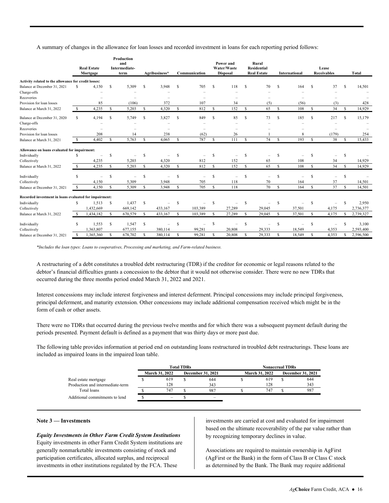A summary of changes in the allowance for loan losses and recorded investment in loans for each reporting period follows:

|                                                        |              | <b>Real Estate</b><br>Mortgage |               | Production<br>and<br>Intermediate-<br>term |   | Agribusiness* |               | Communication |             | Power and<br>Water/Waste<br><b>Disposal</b> |                    | Rural<br><b>Residential</b><br><b>Real Estate</b> |              | International |               | Lease<br><b>Receivables</b> |          | <b>Total</b> |
|--------------------------------------------------------|--------------|--------------------------------|---------------|--------------------------------------------|---|---------------|---------------|---------------|-------------|---------------------------------------------|--------------------|---------------------------------------------------|--------------|---------------|---------------|-----------------------------|----------|--------------|
| Activity related to the allowance for credit losses:   |              |                                |               |                                            |   |               |               |               |             |                                             |                    |                                                   |              |               |               |                             |          |              |
| Balance at December 31, 2021                           | S            | 4,150                          | S             | 5,309                                      | S | 3,948         | S             | 705           | S           | 118                                         | $\mathcal{S}$      | 70                                                | S            | 164           | -S            | 37                          | S        | 14,501       |
| Charge-offs                                            |              |                                |               |                                            |   |               |               |               |             |                                             |                    |                                                   |              |               |               |                             |          |              |
| Recoveries                                             |              |                                |               |                                            |   |               |               |               |             |                                             |                    |                                                   |              |               |               |                             |          |              |
| Provision for loan losses                              |              | 85                             |               | (106)                                      |   | 372           |               | 107           |             | 34                                          |                    | (5)                                               |              | (56)          |               | (3)                         |          | 428          |
| Balance at March 31, 2022                              | -S           | 4,235                          | $\mathbb{S}$  | 5,203                                      | S | 4,320         | S             | 812           | S           | 152                                         | S                  | 65                                                | S            | 108           | S             | 34                          | S        | 14,929       |
| Balance at December 31, 2020                           | S            | 4,194                          | s             | 5,749                                      | S | 3,827         | S             | 849           | S           | 85                                          | <sup>\$</sup>      | 73                                                | \$.          | 185           | S             | 217                         | <b>S</b> | 15,179       |
| Charge-offs                                            |              |                                |               |                                            |   |               |               |               |             |                                             |                    |                                                   |              |               |               |                             |          |              |
| Recoveries                                             |              |                                |               |                                            |   |               |               |               |             |                                             |                    |                                                   |              |               |               |                             |          |              |
| Provision for loan losses                              |              | 208                            |               | 14                                         |   | 238           |               | (62)          |             | 26                                          |                    |                                                   |              | 8             |               | (179)                       |          | 254          |
| Balance at March 31, 2021                              | -S           | 4,402                          | S             | 5,763                                      | S | 4,065         | <sup>\$</sup> | 787           | S.          | 111                                         | <sup>\$</sup>      | 74                                                | S            | 193           | S             | 38                          | S        | 15,433       |
| Allowance on loans evaluated for impairment:           |              |                                |               |                                            |   |               |               |               |             |                                             |                    |                                                   |              |               |               |                             |          |              |
| Individually                                           | S            |                                | \$            |                                            | S |               | S             |               | S           |                                             | S                  |                                                   | S            |               |               |                             | S        |              |
| Collectively                                           |              | 4,235                          |               | 5,203                                      |   | 4,320         |               | 812           |             | 152                                         |                    | 65                                                |              | 108           |               | 34                          |          | 14,929       |
| Balance at March 31, 2022                              | $\mathbb{S}$ | 4,235                          | S             | 5,203                                      | S | 4,320         | $\mathbb{S}$  | 812           | $\mathbf S$ | 152                                         | $\mathbb{S}$       | 65                                                | $\mathbf{s}$ | 108           | S             | 34                          | S        | 14,929       |
| Individually                                           | s            | $\overline{\phantom{a}}$       | S             | $\overline{\phantom{m}}$                   | S |               | S             |               | S           | -                                           | <sup>\$</sup>      | $\overline{\phantom{a}}$                          | S            |               | -S            |                             | S        |              |
| Collectively                                           |              | 4,150                          |               | 5,309                                      |   | 3,948         |               | 705           |             | 118                                         |                    | 70                                                |              | 164           |               | 37                          |          | 14,501       |
| Balance at December 31, 2021                           | S            | 4,150                          | S             | 5,309                                      | S | 3,948         | \$            | 705           | S.          | 118                                         |                    | 70                                                | S            | 164           | S             | 37                          | S        | 14,501       |
| Recorded investment in loans evaluated for impairment: |              |                                |               |                                            |   |               |               |               |             |                                             |                    |                                                   |              |               |               |                             |          |              |
| Individually                                           | S            | 1,513                          | \$            | 1,437                                      | S |               | S             |               | S           |                                             | -S                 |                                                   | S            |               |               |                             |          | 2,950        |
| Collectively                                           |              | 1,432,669                      |               | 669,142                                    |   | 433,167       |               | 103,389       |             | 27,289                                      |                    | 29,045                                            |              | 37,501        |               | 4,175                       |          | 2,736,377    |
| Balance at March 31, 2022                              |              | ,434,182                       | <sup>\$</sup> | 670,579                                    | S | 433,167       | <sup>\$</sup> | 103,389       | S           | 27,289                                      | $\mathbf{\hat{s}}$ | 29,045                                            | S            | 37,501        | S             | 4,175                       | S        | 2,739,327    |
|                                                        | S            | 1,553                          | \$            | 1,547                                      | S |               | S             |               | S           |                                             | <sup>\$</sup>      | $\overline{\phantom{m}}$                          | S            |               | <sup>\$</sup> |                             | \$.      | 3,100        |
| Individually                                           |              | 1,363,807                      |               | 677,155                                    |   | 380,114       |               | 99,281        |             | 20,808                                      |                    | 29,333                                            |              | 18,549        |               | 4,353                       |          | 2,593,400    |
| Collectively                                           | S            | 1,365,360                      | s             | 678,702                                    | S | 380,114       | S             | 99,281        | s           | 20,808                                      | \$                 | 29,333                                            | \$           | 18,549        | s             | 4,353                       | \$       | 2,596,500    |
| Balance at December 31, 2021                           |              |                                |               |                                            |   |               |               |               |             |                                             |                    |                                                   |              |               |               |                             |          |              |

*\*Includes the loan types: Loans to cooperatives, Processing and marketing, and Farm-related business.* 

A restructuring of a debt constitutes a troubled debt restructuring (TDR) if the creditor for economic or legal reasons related to the debtor's financial difficulties grants a concession to the debtor that it would not otherwise consider. There were no new TDRs that occurred during the three months period ended March 31, 2022 and 2021.

Interest concessions may include interest forgiveness and interest deferment. Principal concessions may include principal forgiveness, principal deferment, and maturity extension. Other concessions may include additional compensation received which might be in the form of cash or other assets.

 periods presented. Payment default is defined as a payment that was thirty days or more past due. There were no TDRs that occurred during the previous twelve months and for which there was a subsequent payment default during the

 The following table provides information at period end on outstanding loans restructured in troubled debt restructurings. These loans are included as impaired loans in the impaired loan table.

|                                  |                       | <b>Total TDRs</b> |                          |                       | <b>Nonaccrual TDRs</b> |                          |
|----------------------------------|-----------------------|-------------------|--------------------------|-----------------------|------------------------|--------------------------|
|                                  | <b>March 31, 2022</b> |                   | <b>December 31, 2021</b> | <b>March 31, 2022</b> |                        | <b>December 31, 2021</b> |
| Real estate mortgage             | 619                   |                   | 644                      | 619                   |                        | 644                      |
| Production and intermediate-term | 128                   |                   | 343                      | 128                   |                        | 343                      |
| Total loans                      | 747                   |                   | 987                      | 747                   |                        | 987                      |
| Additional commitments to lend   | -                     |                   | $-$                      |                       |                        |                          |

#### **Note 3 — Investments**

#### *Equity Investments in Other Farm Credit System Institutions*

Equity investments in other Farm Credit System institutions are generally nonmarketable investments consisting of stock and participation certificates, allocated surplus, and reciprocal investments in other institutions regulated by the FCA. These

investments are carried at cost and evaluated for impairment based on the ultimate recoverability of the par value rather than by recognizing temporary declines in value.

Associations are required to maintain ownership in AgFirst (AgFirst or the Bank) in the form of Class B or Class C stock as determined by the Bank. The Bank may require additional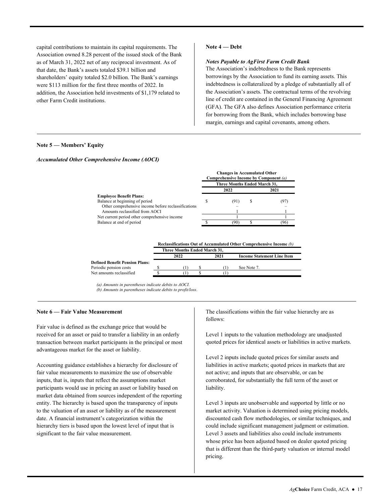shareholders' equity totaled \$2.0 billion. The Bank's earnings capital contributions to maintain its capital requirements. The Association owned 8.28 percent of the issued stock of the Bank as of March 31, 2022 net of any reciprocal investment. As of that date, the Bank's assets totaled \$39.1 billion and were \$113 million for the first three months of 2022. In addition, the Association held investments of \$1,179 related to other Farm Credit institutions.

#### **Note 4 — Debt**

#### *Notes Payable to AgFirst Farm Credit Bank*

The Association's indebtedness to the Bank represents borrowings by the Association to fund its earning assets. This indebtedness is collateralized by a pledge of substantially all of the Association's assets. The contractual terms of the revolving line of credit are contained in the General Financing Agreement (GFA). The GFA also defines Association performance criteria for borrowing from the Bank, which includes borrowing base margin, earnings and capital covenants, among others.

#### **Note 5 — Members' Equity**

#### *Accumulated Other Comprehensive Income (AOCI)*

|                                                     |   | <b>Changes in Accumulated Other</b> |   | Comprehensive Income by Component (a) |
|-----------------------------------------------------|---|-------------------------------------|---|---------------------------------------|
|                                                     |   | Three Months Ended March 31.        |   |                                       |
|                                                     |   | 2022                                |   | 2021                                  |
| <b>Employee Benefit Plans:</b>                      |   |                                     |   |                                       |
| Balance at beginning of period                      | S | (91)                                | S | (97)                                  |
| Other comprehensive income before reclassifications |   |                                     |   |                                       |
| Amounts reclassified from AOCI                      |   |                                     |   |                                       |
| Net current period other comprehensive income       |   |                                     |   |                                       |
| Balance at end of period                            |   | (90)                                |   | (96)                                  |

|                                       |          |                              |      | Reclassifications Out of Accumulated Other Comprehensive Income (b) |
|---------------------------------------|----------|------------------------------|------|---------------------------------------------------------------------|
|                                       |          | Three Months Ended March 31. |      |                                                                     |
|                                       |          | 2022                         | 2021 | <b>Income Statement Line Item</b>                                   |
| <b>Defined Benefit Pension Plans:</b> |          |                              |      |                                                                     |
| Periodic pension costs                |          |                              |      | See Note 7.                                                         |
| Net amounts reclassified              | <b>S</b> |                              |      |                                                                     |

*(a) Amounts in parentheses indicate debits to AOCI. (b) Amounts in parentheses indicate debits to profit/loss*.

#### **Note 6 — Fair Value Measurement**

Fair value is defined as the exchange price that would be received for an asset or paid to transfer a liability in an orderly transaction between market participants in the principal or most advantageous market for the asset or liability.

Accounting guidance establishes a hierarchy for disclosure of fair value measurements to maximize the use of observable inputs, that is, inputs that reflect the assumptions market participants would use in pricing an asset or liability based on market data obtained from sources independent of the reporting entity. The hierarchy is based upon the transparency of inputs to the valuation of an asset or liability as of the measurement date. A financial instrument's categorization within the hierarchy tiers is based upon the lowest level of input that is significant to the fair value measurement.

The classifications within the fair value hierarchy are as follows:

Level 1 inputs to the valuation methodology are unadjusted quoted prices for identical assets or liabilities in active markets.

liability. liability.<br>Level 3 inputs are unobservable and supported by little or no Level 2 inputs include quoted prices for similar assets and liabilities in active markets; quoted prices in markets that are not active; and inputs that are observable, or can be corroborated, for substantially the full term of the asset or

market activity. Valuation is determined using pricing models, discounted cash flow methodologies, or similar techniques, and could include significant management judgment or estimation. Level 3 assets and liabilities also could include instruments whose price has been adjusted based on dealer quoted pricing that is different than the third-party valuation or internal model pricing.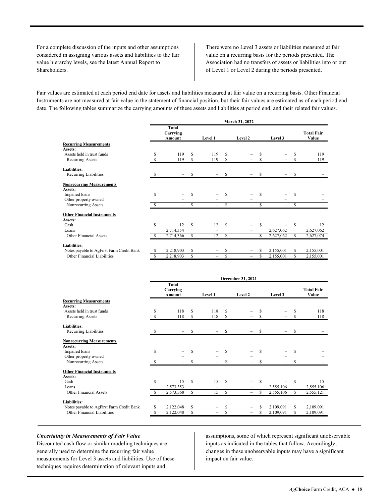For a complete discussion of the inputs and other assumptions There were no Level 3 assets or liabilities measured at fair considered in assigning various assets and liabilities to the fair value on a recurring basis for the periods presented. The value hierarchy levels, see the latest Annual Report to Association had no transfers of assets or liabilities into or out Shareholders. **Shareholders** of Level 1 or Level 2 during the periods presented.

 date. The following tables summarize the carrying amounts of these assets and liabilities at period end, and their related fair values. Fair values are estimated at each period end date for assets and liabilities measured at fair value on a recurring basis. Other Financial Instruments are not measured at fair value in the statement of financial position, but their fair values are estimated as of each period end

|                                           |    |                                    |             |          |    | March 31, 2022           |             |           |    |                            |
|-------------------------------------------|----|------------------------------------|-------------|----------|----|--------------------------|-------------|-----------|----|----------------------------|
|                                           |    | <b>Total</b><br>Carrying<br>Amount |             | Level 1  |    | Level 2                  |             | Level 3   |    | <b>Total Fair</b><br>Value |
| <b>Recurring Measurements</b><br>Assets:  |    |                                    |             |          |    |                          |             |           |    |                            |
| Assets held in trust funds                |    | 119                                | S           | 119      | S  |                          | S           |           | S  | 119                        |
| <b>Recurring Assets</b>                   | S  | 119                                | $\mathbf S$ | 119      | S  |                          | $\mathbf S$ |           | S  | 119                        |
| <b>Liabilities:</b>                       |    |                                    |             |          |    |                          |             |           |    |                            |
| Recurring Liabilities                     | S  |                                    | S           |          | \$ |                          | \$          |           | \$ |                            |
| <b>Nonrecurring Measurements</b>          |    |                                    |             |          |    |                          |             |           |    |                            |
| Assets:                                   |    |                                    |             |          |    |                          |             |           |    |                            |
| Impaired loans                            | S  |                                    | S           |          | S  |                          | S           |           | S  |                            |
| Other property owned                      |    |                                    |             |          |    |                          |             |           |    |                            |
| Nonrecurring Assets                       | S  | $\equiv$                           | S           | $\equiv$ | \$ | $\equiv$                 | \$          | $\equiv$  | \$ |                            |
| <b>Other Financial Instruments</b>        |    |                                    |             |          |    |                          |             |           |    |                            |
| Assets:                                   |    |                                    |             |          |    |                          |             |           |    |                            |
| Cash                                      | S  | 12                                 | S           | 12       | S  |                          | S           |           | S  | 12                         |
| Loans                                     |    | 2,714,354                          |             |          |    |                          |             | 2,627,062 |    | 2,627,062                  |
| <b>Other Financial Assets</b>             | S  | 2,714,366                          | S           | 12       | S  | $\equiv$                 | S           | 2,627,062 | S  | 2,627,074                  |
| <b>Liabilities:</b>                       |    |                                    |             |          |    |                          |             |           |    |                            |
| Notes payable to AgFirst Farm Credit Bank | \$ | 2,218,903                          | \$          |          | \$ |                          | S           | 2,155,001 | S  | 2,155,001                  |
| Other Financial Liabilities               | S  | 2,218,903                          | S           | ÷,       | \$ | $\overline{\phantom{0}}$ | \$          | 2,155,001 | S  | 2,155,001                  |

|                                           |   | Total<br>Carrying<br>Amount |    | Level 1 |    | Level 2 |     | Level 3   |    | <b>Total Fair</b><br>Value |
|-------------------------------------------|---|-----------------------------|----|---------|----|---------|-----|-----------|----|----------------------------|
| <b>Recurring Measurements</b>             |   |                             |    |         |    |         |     |           |    |                            |
| Assets:                                   |   |                             |    |         |    |         |     |           |    |                            |
| Assets held in trust funds                | S | 118                         | S  | 118     | S  |         |     |           |    | 118                        |
| <b>Recurring Assets</b>                   |   | 118                         | \$ | 118     | \$ |         |     |           |    | 118                        |
| <b>Liabilities:</b>                       |   |                             |    |         |    |         |     |           |    |                            |
| Recurring Liabilities                     |   |                             | \$ |         | \$ |         | S   |           | \$ |                            |
| <b>Nonrecurring Measurements</b>          |   |                             |    |         |    |         |     |           |    |                            |
| Assets:                                   |   |                             |    |         |    |         |     |           |    |                            |
| Impaired loans                            | S |                             | S  |         | S  |         | S   |           | S  |                            |
| Other property owned                      |   |                             |    |         |    |         |     |           |    |                            |
| Nonrecurring Assets                       |   |                             | S  |         | S  |         | S   |           | S  |                            |
| <b>Other Financial Instruments</b>        |   |                             |    |         |    |         |     |           |    |                            |
| Assets:                                   |   |                             |    |         |    |         |     |           |    |                            |
| Cash                                      | S | 15                          | S  | 15      | S  |         | \$. |           | S  | 15                         |
| Loans                                     |   | 2,573,353                   |    |         |    |         |     | 2,555,106 |    | 2,555,106                  |
| <b>Other Financial Assets</b>             |   | 2,573,368                   | \$ | 15      | \$ | -       | S   | 2,555,106 |    | 2,555,121                  |
| <b>Liabilities:</b>                       |   |                             |    |         |    |         |     |           |    |                            |
| Notes payable to AgFirst Farm Credit Bank | S | 2,122,048                   | S  |         | \$ |         |     | 2,109,091 |    | 2,109,091                  |
| Other Financial Liabilities               |   | 2,122,048                   | S  |         | \$ | -       | S   | 2,109,091 |    | 2,109,091                  |

measurements for Level 3 assets and liabilities. Use of these impact on fair value. techniques requires determination of relevant inputs and

*Uncertainty in Measurements of Fair Value* assumptions, some of which represent significant unobservable Discounted cash flow or similar modeling techniques are inputs as indicated in the tables that follow. Accordingly, generally used to determine the recurring fair value changes in these unobservable inputs may have a significant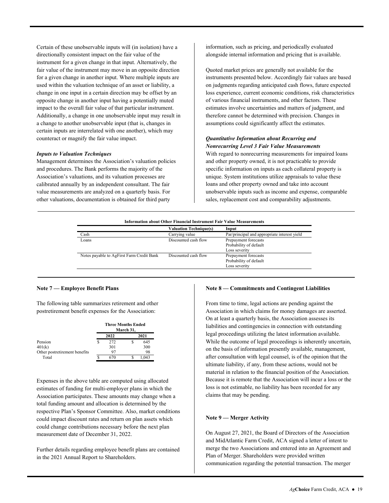Certain of these unobservable inputs will (in isolation) have a directionally consistent impact on the fair value of the instrument for a given change in that input. Alternatively, the fair value of the instrument may move in an opposite direction for a given change in another input. Where multiple inputs are used within the valuation technique of an asset or liability, a change in one input in a certain direction may be offset by an opposite change in another input having a potentially muted impact to the overall fair value of that particular instrument. Additionally, a change in one unobservable input may result in a change to another unobservable input (that is, changes in certain inputs are interrelated with one another), which may counteract or magnify the fair value impact.

#### *Inputs to Valuation Techniques*

 calibrated annually by an independent consultant. The fair Management determines the Association's valuation policies and procedures. The Bank performs the majority of the Association's valuations, and its valuation processes are value measurements are analyzed on a quarterly basis. For other valuations, documentation is obtained for third party

information, such as pricing, and periodically evaluated alongside internal information and pricing that is available.

 assumptions could significantly affect the estimates. Quoted market prices are generally not available for the instruments presented below. Accordingly fair values are based on judgments regarding anticipated cash flows, future expected loss experience, current economic conditions, risk characteristics of various financial instruments, and other factors. These estimates involve uncertainties and matters of judgment, and therefore cannot be determined with precision. Changes in

#### *Quantitative Information about Recurring and Nonrecurring Level 3 Fair Value Measurements*

With regard to nonrecurring measurements for impaired loans and other property owned, it is not practicable to provide specific information on inputs as each collateral property is unique. System institutions utilize appraisals to value these loans and other property owned and take into account unobservable inputs such as income and expense, comparable sales, replacement cost and comparability adjustments.

|                                           | <b>Valuation Technique(s)</b> | Input                                                           |
|-------------------------------------------|-------------------------------|-----------------------------------------------------------------|
| Cash                                      | Carrying value                | Par/principal and appropriate interest yield                    |
| Loans                                     | Discounted cash flow          | Prepayment forecasts<br>Probability of default<br>Loss severity |
| Notes payable to AgFirst Farm Credit Bank | Discounted cash flow          | Prepayment forecasts<br>Probability of default<br>Loss severity |

#### **Note 7 — Employee Benefit Plans**

The following table summarizes retirement and other postretirement benefit expenses for the Association:

|                               |   | <b>Three Months Ended</b> | March 31, |      |
|-------------------------------|---|---------------------------|-----------|------|
|                               |   | 2022                      |           | 2021 |
| Pension                       | S | 272                       |           | 645  |
| 401(k)                        |   | 301                       |           | 300  |
| Other postretirement benefits |   | 97                        |           | 98   |
| Total                         |   |                           |           | .043 |

Expenses in the above table are computed using allocated estimates of funding for multi-employer plans in which the Association participates. These amounts may change when a total funding amount and allocation is determined by the respective Plan's Sponsor Committee. Also, market conditions could impact discount rates and return on plan assets which could change contributions necessary before the next plan measurement date of December 31, 2022.

Further details regarding employee benefit plans are contained in the 2021 Annual Report to Shareholders.

#### **Note 8 — Commitments and Contingent Liabilities**

 Association in which claims for money damages are asserted. liabilities and contingencies in connection with outstanding claims that may be pending. From time to time, legal actions are pending against the On at least a quarterly basis, the Association assesses its legal proceedings utilizing the latest information available. While the outcome of legal proceedings is inherently uncertain, on the basis of information presently available, management, after consultation with legal counsel, is of the opinion that the ultimate liability, if any, from these actions, would not be material in relation to the financial position of the Association. Because it is remote that the Association will incur a loss or the loss is not estimable, no liability has been recorded for any

#### **Note 9 — Merger Activity**

On August 27, 2021, the Board of Directors of the Association and MidAtlantic Farm Credit, ACA signed a letter of intent to merge the two Associations and entered into an Agreement and Plan of Merger. Shareholders were provided written communication regarding the potential transaction. The merger